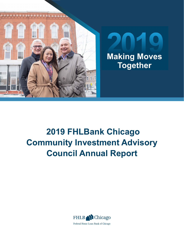



# **2019 FHLBank Chicago Community Investment Advisory Council Annual Report**



Federal Home Loan Bank of Chicago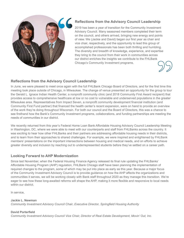

### **Reflections from the Advisory Council Leadership**

2019 has been a year of transition for the Community Investment Advisory Council. Many seasoned members completed their term on the council, and others arrived, bringing new energy and points of view. We (Jackie and David) began our first year as chair and vice chair, respectively, and the opportunity to lead this group of accomplished professionals has been both thrilling and humbling. The diversity and breadth of knowledge, experience, and expertise they bring to the council from their work in communities across our district enriches the insights we contribute to the FHLBank Chicago's Community Investment programs.

#### **Reflections from the Advisory Council Leadership**

In June, we were pleased to meet once again with the full FHLBank Chicago Board of Directors, and for the first time this meeting took place outside of Chicago, in Milwaukee. The change of venue presented an opportunity for the group to tour the Gerald L. Ignace Indian Health Center, a nonprofit community clinic (and 2018 Community First Award recipient) that provides access to comprehensive healthcare at low or no cost to vulnerable and underserved populations in the greater Milwaukee area. Representatives from Impact Seven, a nonprofit community development financial institution (and Community First Fund partner) that financed the health center's recent expansion, were on hand to provide an overview of the work they're doing throughout Wisconsin. For both our council and the Board of Directors, this was a chance to see firsthand how the Bank's Community Investment programs, collaborations, and funding partnerships are meeting the needs of communities in our district.

We recently returned from this year's Federal Home Loan Bank Affordable Housing Advisory Council Leadership Meeting in Washington, DC, where we were able to meet with our counterparts and staff from FHLBanks across the country. It was exciting to hear how other FHLBanks and their partners are addressing affordable housing needs in their districts, and to learn from their approaches to shared challenges. For example, we were inspired and enlightened by FHLBank members' presentations on the important intersections between housing and medical needs, and on efforts to achieve greater diversity and inclusion by reaching out to underrepresented students before they've settled on a career path.

#### **Looking Forward to AHP Modernization**

Since last November, when the Federal Housing Finance Agency released its final rule updating the FHLBanks' Affordable Housing Program (AHP) regulation, FHLBank Chicago staff have been planning the implementation of required changes to the program, some of which may be put into place as early as this year. Because a major focus of the Community Investment Advisory Council is to provide guidance on how the AHP affects the organizations and communities it serves, we will be working closely with Bank staff throughout 2020 as they manage this transition. We're eager to see how these long-awaited reforms will shape the AHP, making it more flexible and responsive to local needs within our district.

In service,

#### **Jackie L. Newman** *Community Investment Advisory Council Chair, Executive Director, Springfield Housing Authority*

#### **David Porterfield**

*Community Investment Advisory Council Vice Chair, Director of Real Estate Development, Movin' Out, Inc.*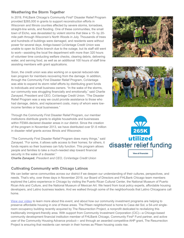#### **Weathering the Storm Together**

In 2019, FHLBank Chicago's Community First® Disaster Relief Program provided \$265,000 in grants to support reconstruction efforts in Wisconsin and Illinois counties affected by severe storms, tornadoes, straight-line winds, and flooding. One of these communities, the small town of Elcho, was devastated by violent storms that blew a 15- by 20 mile path through Wisconsin's North Woods in July. Thousands of trees and hundreds of buildings were damaged, and residents were without power for several days. Antigo-based CoVantage Credit Union was unable to open its Elcho branch due to the outage, but its staff still went to work—assisting the local fire department with more than 320 hours of volunteer time conducting welfare checks, clearing debris, delivering water, and serving food, as well as an additional 100 hours of staff time assisting members with grant applications.



Soon, the credit union was also working on a special reduced-rate loan program for members recovering from the damage. In addition, through the Community First Disaster Relief Program, CoVantage was able to expand its storm relief efforts by distributing grant funds to individuals and small business owners. "In the wake of the storms, our community was struggling financially and emotionally," said Charlie Zanayed, President and CEO, CoVantage Credit Union. "The Disaster Relief Program was a way we could provide assistance to those who had damage, debris, and replacement costs, many of whom were lowincome families or local businesses."

Through the Community First Disaster Relief Program, our member institutions distribute grants to eligible households and businesses within FEMA-declared disaster areas in our district. Since the creation of the program in November 2013, we have distributed over \$1.6 million in disaster relief grants across Illinois and Wisconsin.

"The Community First Disaster Relief Program does many things," said Zanayed. "For some, it allows safe access to their homes; for others, it funds repairs so their business can fully function. This program allows people and families to take a much-needed step toward financial security in the wake of a disaster." **Charlie Zanayed**, *President and CEO, CoVantage Credit Union*

#### **Cultivating Community with Chicago Latinos**

We can better serve communities across our district if we deepen our understanding of their cultures, perspectives, and needs. That's why, over three days in November 2019, our Board of Directors and FHLBank Chicago team members explored the Latino experience in Chicago by visiting the Puerto Rican Cultural Center, the National Museum of Puerto Rican Arts and Culture, and the National Museum of Mexican Art. We heard from local policy experts, affordable housing developers, and Latino business leaders. And we walked through some of the neighborhoods that Latino Chicagoans call home.

**[View our video](https://vimeo.com/396016921)** to learn more about this event, and about how our community investment programs are helping to preserve affordable housing in one of these areas. The Pilsen neighborhood is home to Casa del Sol, a 54-unit singleroom occupancy building recently acquired by The Resurrection Project, a nonprofit dedicated to revitalizing this traditionally immigrant-friendly area. With support from Community Investment Corporation (CIC)—a Chicago-based community development financial institution member of FHLBank Chicago, Community First® Fund partner, and active user of the Community Housing Advance product— and through an awarded competitive AHP grant, The Resurrection Project is ensuring that residents can remain in their homes as Pilsen housing costs rise.



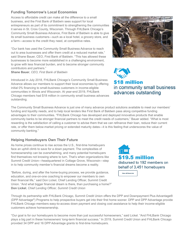#### **Funding Tomorrow's Local Economies**

Access to affordable credit can make all the difference to a small business, and the First Bank of Baldwin sees support for local entrepreneurs as part of its commitment to strengthening the communities it serves in St. Croix County, Wisconsin. Through FHLBank Chicago's Community Small Business Advance, First Bank of Baldwin is able to give its small business customers—such as a local hotel, a grocery store, and a farm—access to the credit they need, at competitive rates.

"Our bank has used the Community Small Business Advance to reach out to area businesses and offer them credit at a reduced market rate," said Shane Bauer, CEO, First Bank of Baldwin. "This has allowed these businesses to become more established in a challenging environment, to grow with less financial burden, and to become stronger community contributors and partners." **Shane Bauer**, *CEO, First Bank of Baldwin*

Introduced in July 2018, FHLBank Chicago's Community Small Business Advance allows our members to support their local economies by offering initial 0% financing to small-business customers in income-eligible communities in Illinois and Wisconsin. At year-end 2019, FHLBank Chicago members had \$18 million in community small business advances outstanding.

The Community Small Business Advance is just one of many advance product solutions available to meet our members' funding and liquidity needs, and to help local lenders like First Bank of Baldwin pass along competitive funding advantages to their communities. "FHLBank Chicago has developed and deployed innovative products that enable community banks to be stronger financial partners to meet the credit needs of customers," Bauer added. "What is most rewarding is the satisfaction of calling a customer to advise them that we can refinance their loan, reduce their current rate, or offer them below-market pricing or extended maturity dates—it is this feeling that underscores the value of community banking."

#### **Helping Homebuyers Own Their Future**

As home prices continue to rise across the U.S., first-time homebuyers face an uphill climb to save for a down payment. The complexities of homeownership can be overwhelming, and many potential homebuyers find themselves not knowing where to turn. That's when organizations like Summit Credit Union—headquartered in Cottage Grove, Wisconsin—step in to help community member's financial dreams become a reality.

"Before, during, and after the home-buying process, we provide guidance, education, and one-on-one coaching to empower our members to own their financial life," said Don Lickel, Chief Lending Officer, Summit Credit Union. "And what bigger financial dream is there, than purchasing a home?" **Don Lickel**, *Chief Lending Officer, Summit Credit Union*

Through its partnership with FHLBank Chicago, Summit Credit Union offers the DPP and Downpayment Plus Advantage® (DPP Advantage®) Programs to help prospective buyers get into their first home sooner. DPP and DPP Advantage provide FHLBank Chicago members easy-to-access down payment and closing cost assistance to help their income-eligible customers achieve homeownership.

"Our goal is for our homebuyers to become more than just successful homeowners," said Lickel. "And FHLBank Chicago plays a big part in these homeowners' long-term financial success." In 2019, Summit Credit Union and FHLBank Chicago provided 34 DPP and 16 DPP Advantage grants to first-time homebuyers.





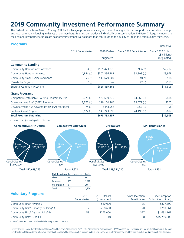## **2019 Community Investment Performance Summary**

The Federal Home Loan Bank of Chicago (FHLBank Chicago) provides financing and direct funding tools that support the affordable housing and local community lending initiatives of our members. By using our products individually or in combination, FHLBank Chicago members and their community partners can create economically competitive solutions that contribute to the quality of life in the communities they serve.

| <b>Programs</b>                               |                    |               |                          | Cumulative                          |
|-----------------------------------------------|--------------------|---------------|--------------------------|-------------------------------------|
|                                               | 2019 Beneficiaries | 2019 Dollars  | Since 1989 Beneficiaries | Since 1989 Dollars<br>(\$ millions) |
|                                               |                    | (originated)  |                          | (originated)                        |
| <b>Community Lending</b>                      |                    |               |                          |                                     |
| <b>Community Development Advance</b>          | 4(t)               | \$105,473,278 | 986(t)                   | \$2,707                             |
| <b>Community Housing Advance</b>              | $4,844$ (u)        | \$507,336,281 | 132,898 (u)              | \$8,968                             |
| <b>Community Small Business Advance</b>       | 25(t)              | \$13,679,604  | 40 $(t)$                 | \$18                                |
| Mixed-Use Projects                            | 0(t)               |               | 42 $(t)$                 | \$113                               |
| Subtotal Community Lending                    |                    | \$626,489,163 |                          | \$11,806                            |
| <b>Grant Programs</b>                         |                    |               |                          |                                     |
| Competitive Affordable Housing Program (AHP)* | $2,671$ (u)        | \$27,699,775  | 84,262 (u)               | \$484                               |
| Downpayment Plus® (DPP®) Program              | $3,377$ (u)        | \$19,100,264  | 38,577 (u)               | \$205                               |
| Downpayment Plus Advantage® (DPP Advantage®)  | 74 (u)             | \$443,956     | $1,357$ (u)              | \$8                                 |
| <b>Subtotal Grant Programs</b>                | $6,122$ (u)        | \$47,243,995  | 124,196 (u)              | \$697                               |
| <b>Total Program Financing</b>                |                    | \$673,733,157 |                          | \$12,503                            |

(t) transactions (u) housing units \*Awarded



| COMMUNICATION AWAIUS (I)                            | J4V.VVV   |     | טטכ, <i>ו</i> טכע |
|-----------------------------------------------------|-----------|-----|-------------------|
| Community First <sup>®</sup> Capacity-Building* (i) | \$258,660 |     | \$760,964         |
| Community First® Disaster Relief (i)                | \$265,000 | 327 | \$1,631,167       |
| Community First <sup>®</sup> Fund (ii)              |           |     | \$45,750,000      |
|                                                     |           |     |                   |

(i) beneficiaries are grants (ii) beneficiaries are partners \*Awarded

Copyright © 2020. Federal Home Loan Bank of Chicago. All rights reserved. "Downpayment Plus," "DPP," "Downpayment Plus Advantage," "DPP Advantage," and "Community First" are registered trademarks of the Federal Home Loan Bank of Chicago. Certain information included only speaks as of the particular date(s) included, and may have become out of date. We undertake no obligation and disclaim any duty to update any information.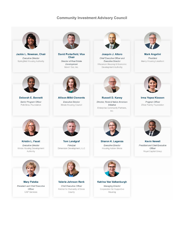#### **Community Investment Advisory Council**